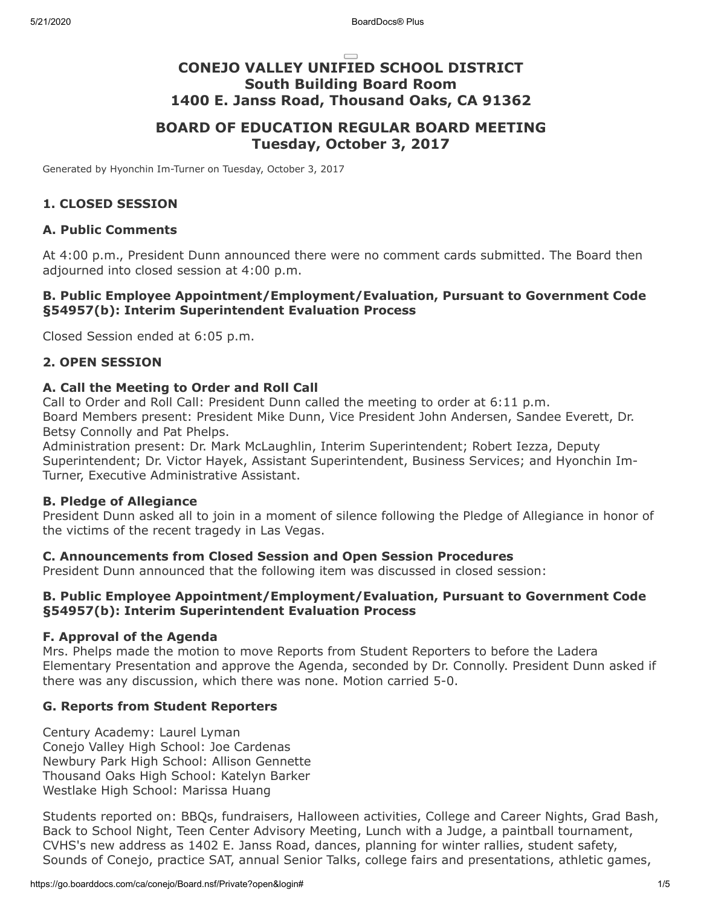# **CONEJO VALLEY UNIFIED SCHOOL DISTRICT South Building Board Room 1400 E. Janss Road, Thousand Oaks, CA 91362**

## **BOARD OF EDUCATION REGULAR BOARD MEETING Tuesday, October 3, 2017**

Generated by Hyonchin Im-Turner on Tuesday, October 3, 2017

#### **1. CLOSED SESSION**

#### **A. Public Comments**

At 4:00 p.m., President Dunn announced there were no comment cards submitted. The Board then adjourned into closed session at 4:00 p.m.

#### **B. Public Employee Appointment/Employment/Evaluation, Pursuant to Government Code §54957(b): Interim Superintendent Evaluation Process**

Closed Session ended at 6:05 p.m.

#### **2. OPEN SESSION**

#### **A. Call the Meeting to Order and Roll Call**

Call to Order and Roll Call: President Dunn called the meeting to order at 6:11 p.m. Board Members present: President Mike Dunn, Vice President John Andersen, Sandee Everett, Dr. Betsy Connolly and Pat Phelps.

Administration present: Dr. Mark McLaughlin, Interim Superintendent; Robert Iezza, Deputy Superintendent; Dr. Victor Hayek, Assistant Superintendent, Business Services; and Hyonchin Im-Turner, Executive Administrative Assistant.

#### **B. Pledge of Allegiance**

President Dunn asked all to join in a moment of silence following the Pledge of Allegiance in honor of the victims of the recent tragedy in Las Vegas.

#### **C. Announcements from Closed Session and Open Session Procedures**

President Dunn announced that the following item was discussed in closed session:

#### **B. Public Employee Appointment/Employment/Evaluation, Pursuant to Government Code §54957(b): Interim Superintendent Evaluation Process**

#### **F. Approval of the Agenda**

Mrs. Phelps made the motion to move Reports from Student Reporters to before the Ladera Elementary Presentation and approve the Agenda, seconded by Dr. Connolly. President Dunn asked if there was any discussion, which there was none. Motion carried 5-0.

#### **G. Reports from Student Reporters**

Century Academy: Laurel Lyman Conejo Valley High School: Joe Cardenas Newbury Park High School: Allison Gennette Thousand Oaks High School: Katelyn Barker Westlake High School: Marissa Huang

Students reported on: BBQs, fundraisers, Halloween activities, College and Career Nights, Grad Bash, Back to School Night, Teen Center Advisory Meeting, Lunch with a Judge, a paintball tournament, CVHS's new address as 1402 E. Janss Road, dances, planning for winter rallies, student safety, Sounds of Conejo, practice SAT, annual Senior Talks, college fairs and presentations, athletic games,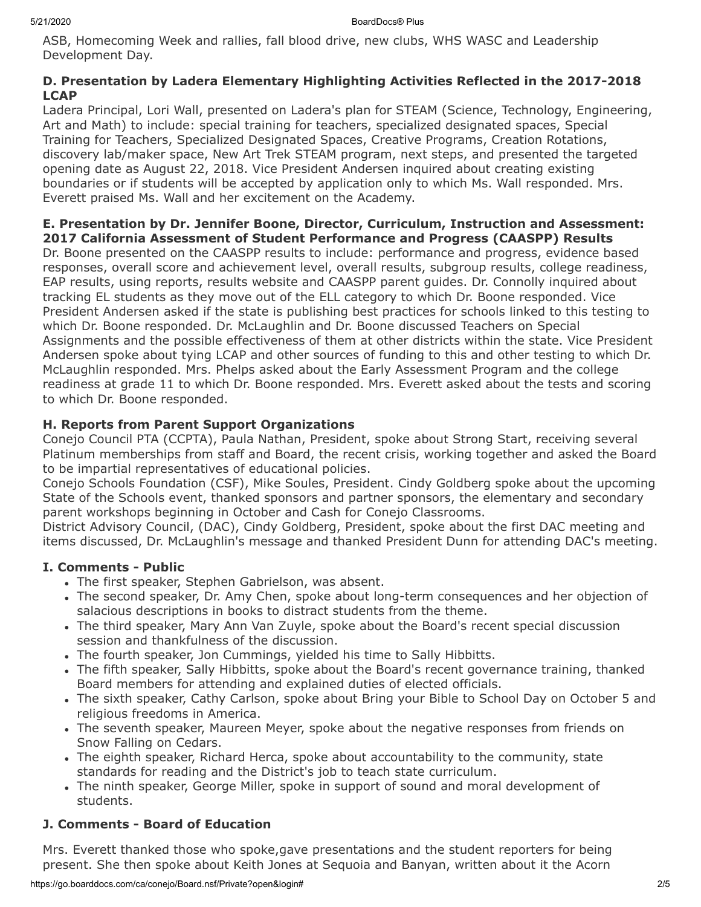ASB, Homecoming Week and rallies, fall blood drive, new clubs, WHS WASC and Leadership Development Day.

#### **D. Presentation by Ladera Elementary Highlighting Activities Reflected in the 2017-2018 LCAP**

Ladera Principal, Lori Wall, presented on Ladera's plan for STEAM (Science, Technology, Engineering, Art and Math) to include: special training for teachers, specialized designated spaces, Special Training for Teachers, Specialized Designated Spaces, Creative Programs, Creation Rotations, discovery lab/maker space, New Art Trek STEAM program, next steps, and presented the targeted opening date as August 22, 2018. Vice President Andersen inquired about creating existing boundaries or if students will be accepted by application only to which Ms. Wall responded. Mrs. Everett praised Ms. Wall and her excitement on the Academy.

#### **E. Presentation by Dr. Jennifer Boone, Director, Curriculum, Instruction and Assessment: 2017 California Assessment of Student Performance and Progress (CAASPP) Results**

Dr. Boone presented on the CAASPP results to include: performance and progress, evidence based responses, overall score and achievement level, overall results, subgroup results, college readiness, EAP results, using reports, results website and CAASPP parent guides. Dr. Connolly inquired about tracking EL students as they move out of the ELL category to which Dr. Boone responded. Vice President Andersen asked if the state is publishing best practices for schools linked to this testing to which Dr. Boone responded. Dr. McLaughlin and Dr. Boone discussed Teachers on Special Assignments and the possible effectiveness of them at other districts within the state. Vice President Andersen spoke about tying LCAP and other sources of funding to this and other testing to which Dr. McLaughlin responded. Mrs. Phelps asked about the Early Assessment Program and the college readiness at grade 11 to which Dr. Boone responded. Mrs. Everett asked about the tests and scoring to which Dr. Boone responded.

### **H. Reports from Parent Support Organizations**

Conejo Council PTA (CCPTA), Paula Nathan, President, spoke about Strong Start, receiving several Platinum memberships from staff and Board, the recent crisis, working together and asked the Board to be impartial representatives of educational policies.

Conejo Schools Foundation (CSF), Mike Soules, President. Cindy Goldberg spoke about the upcoming State of the Schools event, thanked sponsors and partner sponsors, the elementary and secondary parent workshops beginning in October and Cash for Conejo Classrooms.

District Advisory Council, (DAC), Cindy Goldberg, President, spoke about the first DAC meeting and items discussed, Dr. McLaughlin's message and thanked President Dunn for attending DAC's meeting.

## **I. Comments - Public**

- The first speaker, Stephen Gabrielson, was absent.
- The second speaker, Dr. Amy Chen, spoke about long-term consequences and her objection of salacious descriptions in books to distract students from the theme.
- The third speaker, Mary Ann Van Zuyle, spoke about the Board's recent special discussion session and thankfulness of the discussion.
- . The fourth speaker, Jon Cummings, yielded his time to Sally Hibbitts.
- The fifth speaker, Sally Hibbitts, spoke about the Board's recent governance training, thanked Board members for attending and explained duties of elected officials.
- The sixth speaker, Cathy Carlson, spoke about Bring your Bible to School Day on October 5 and religious freedoms in America.
- The seventh speaker, Maureen Meyer, spoke about the negative responses from friends on Snow Falling on Cedars.
- The eighth speaker, Richard Herca, spoke about accountability to the community, state standards for reading and the District's job to teach state curriculum.
- The ninth speaker, George Miller, spoke in support of sound and moral development of students.

## **J. Comments - Board of Education**

Mrs. Everett thanked those who spoke,gave presentations and the student reporters for being present. She then spoke about Keith Jones at Sequoia and Banyan, written about it the Acorn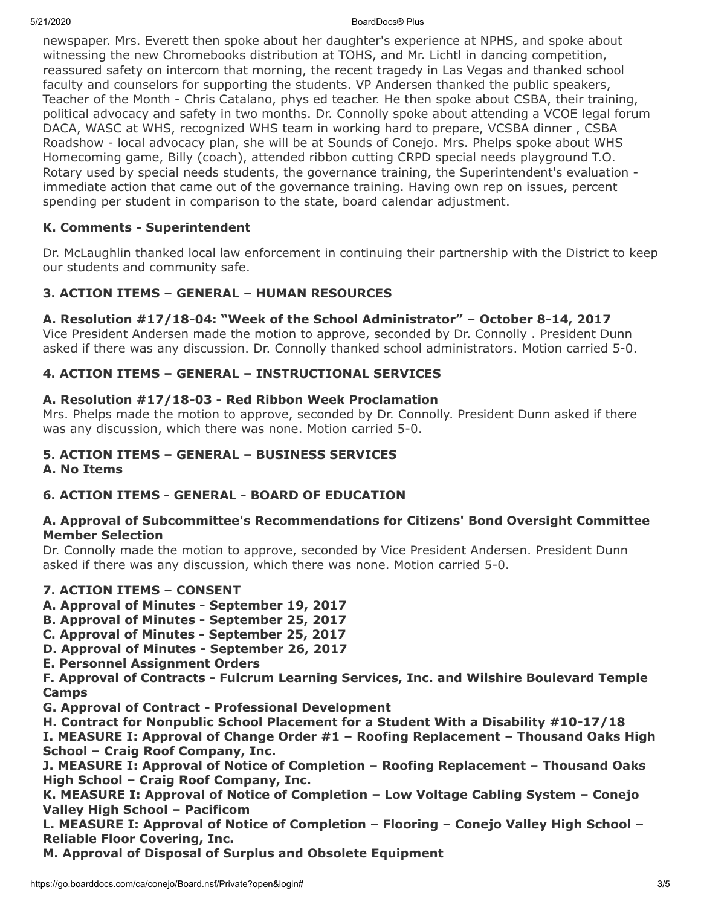5/21/2020 BoardDocs® Plus

newspaper. Mrs. Everett then spoke about her daughter's experience at NPHS, and spoke about witnessing the new Chromebooks distribution at TOHS, and Mr. Lichtl in dancing competition, reassured safety on intercom that morning, the recent tragedy in Las Vegas and thanked school faculty and counselors for supporting the students. VP Andersen thanked the public speakers, Teacher of the Month - Chris Catalano, phys ed teacher. He then spoke about CSBA, their training, political advocacy and safety in two months. Dr. Connolly spoke about attending a VCOE legal forum DACA, WASC at WHS, recognized WHS team in working hard to prepare, VCSBA dinner , CSBA Roadshow - local advocacy plan, she will be at Sounds of Conejo. Mrs. Phelps spoke about WHS Homecoming game, Billy (coach), attended ribbon cutting CRPD special needs playground T.O. Rotary used by special needs students, the governance training, the Superintendent's evaluation immediate action that came out of the governance training. Having own rep on issues, percent spending per student in comparison to the state, board calendar adjustment.

## **K. Comments - Superintendent**

Dr. McLaughlin thanked local law enforcement in continuing their partnership with the District to keep our students and community safe.

### **3. ACTION ITEMS – GENERAL – HUMAN RESOURCES**

### **A. Resolution #17/18-04: "Week of the School Administrator" – October 8-14, 2017**

Vice President Andersen made the motion to approve, seconded by Dr. Connolly . President Dunn asked if there was any discussion. Dr. Connolly thanked school administrators. Motion carried 5-0.

### **4. ACTION ITEMS – GENERAL – INSTRUCTIONAL SERVICES**

### **A. Resolution #17/18-03 - Red Ribbon Week Proclamation**

Mrs. Phelps made the motion to approve, seconded by Dr. Connolly. President Dunn asked if there was any discussion, which there was none. Motion carried 5-0.

### **5. ACTION ITEMS – GENERAL – BUSINESS SERVICES**

#### **A. No Items**

## **6. ACTION ITEMS - GENERAL - BOARD OF EDUCATION**

#### **A. Approval of Subcommittee's Recommendations for Citizens' Bond Oversight Committee Member Selection**

Dr. Connolly made the motion to approve, seconded by Vice President Andersen. President Dunn asked if there was any discussion, which there was none. Motion carried 5-0.

### **7. ACTION ITEMS – CONSENT**

- **A. Approval of Minutes September 19, 2017**
- **B. Approval of Minutes September 25, 2017**
- **C. Approval of Minutes September 25, 2017**
- **D. Approval of Minutes September 26, 2017**
- **E. Personnel Assignment Orders**

**F. Approval of Contracts - Fulcrum Learning Services, Inc. and Wilshire Boulevard Temple Camps**

- **G. Approval of Contract Professional Development**
- **H. Contract for Nonpublic School Placement for a Student With a Disability #10-17/18**

**I. MEASURE I: Approval of Change Order #1 – Roofing Replacement – Thousand Oaks High School – Craig Roof Company, Inc.**

**J. MEASURE I: Approval of Notice of Completion – Roofing Replacement – Thousand Oaks High School – Craig Roof Company, Inc.**

**K. MEASURE I: Approval of Notice of Completion – Low Voltage Cabling System – Conejo Valley High School – Pacificom**

**L. MEASURE I: Approval of Notice of Completion – Flooring – Conejo Valley High School – Reliable Floor Covering, Inc.**

**M. Approval of Disposal of Surplus and Obsolete Equipment**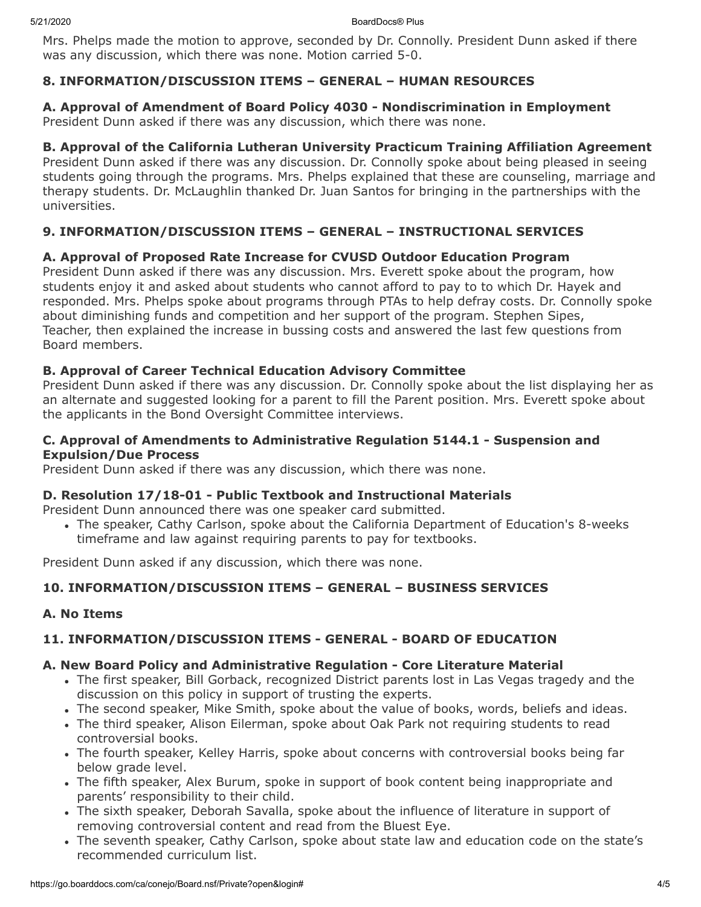5/21/2020 BoardDocs® Plus

Mrs. Phelps made the motion to approve, seconded by Dr. Connolly. President Dunn asked if there was any discussion, which there was none. Motion carried 5-0.

### **8. INFORMATION/DISCUSSION ITEMS – GENERAL – HUMAN RESOURCES**

**A. Approval of Amendment of Board Policy 4030 - Nondiscrimination in Employment** President Dunn asked if there was any discussion, which there was none.

### **B. Approval of the California Lutheran University Practicum Training Affiliation Agreement**

President Dunn asked if there was any discussion. Dr. Connolly spoke about being pleased in seeing students going through the programs. Mrs. Phelps explained that these are counseling, marriage and therapy students. Dr. McLaughlin thanked Dr. Juan Santos for bringing in the partnerships with the universities.

### **9. INFORMATION/DISCUSSION ITEMS – GENERAL – INSTRUCTIONAL SERVICES**

### **A. Approval of Proposed Rate Increase for CVUSD Outdoor Education Program**

President Dunn asked if there was any discussion. Mrs. Everett spoke about the program, how students enjoy it and asked about students who cannot afford to pay to to which Dr. Hayek and responded. Mrs. Phelps spoke about programs through PTAs to help defray costs. Dr. Connolly spoke about diminishing funds and competition and her support of the program. Stephen Sipes, Teacher, then explained the increase in bussing costs and answered the last few questions from Board members.

### **B. Approval of Career Technical Education Advisory Committee**

President Dunn asked if there was any discussion. Dr. Connolly spoke about the list displaying her as an alternate and suggested looking for a parent to fill the Parent position. Mrs. Everett spoke about the applicants in the Bond Oversight Committee interviews.

#### **C. Approval of Amendments to Administrative Regulation 5144.1 - Suspension and Expulsion/Due Process**

President Dunn asked if there was any discussion, which there was none.

#### **D. Resolution 17/18-01 - Public Textbook and Instructional Materials**

President Dunn announced there was one speaker card submitted.

The speaker, Cathy Carlson, spoke about the California Department of Education's 8-weeks timeframe and law against requiring parents to pay for textbooks.

President Dunn asked if any discussion, which there was none.

### **10. INFORMATION/DISCUSSION ITEMS – GENERAL – BUSINESS SERVICES**

#### **A. No Items**

### **11. INFORMATION/DISCUSSION ITEMS - GENERAL - BOARD OF EDUCATION**

#### **A. New Board Policy and Administrative Regulation - Core Literature Material**

- The first speaker, Bill Gorback, recognized District parents lost in Las Vegas tragedy and the discussion on this policy in support of trusting the experts.
- The second speaker, Mike Smith, spoke about the value of books, words, beliefs and ideas.
- The third speaker, Alison Eilerman, spoke about Oak Park not requiring students to read controversial books.
- The fourth speaker, Kelley Harris, spoke about concerns with controversial books being far below grade level.
- The fifth speaker, Alex Burum, spoke in support of book content being inappropriate and parents' responsibility to their child.
- The sixth speaker, Deborah Savalla, spoke about the influence of literature in support of removing controversial content and read from the Bluest Eye.
- The seventh speaker, Cathy Carlson, spoke about state law and education code on the state's recommended curriculum list.